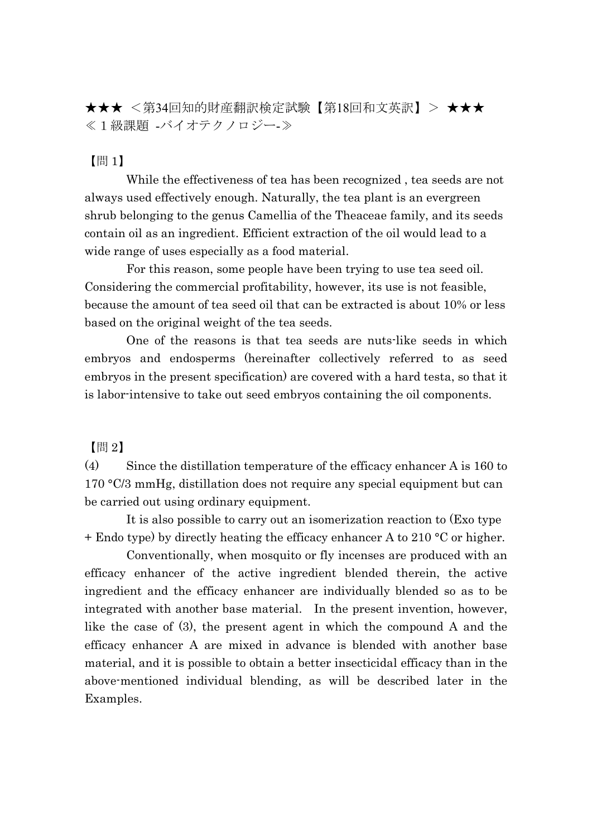★★★ <第34回知的財産翻訳検定試験【第18回和文英訳】> ★★★ ≪1級課題 -バイオテクノロジー-≫

## 【問 1】

While the effectiveness of tea has been recognized , tea seeds are not always used effectively enough. Naturally, the tea plant is an evergreen shrub belonging to the genus Camellia of the Theaceae family, and its seeds contain oil as an ingredient. Efficient extraction of the oil would lead to a wide range of uses especially as a food material.

For this reason, some people have been trying to use tea seed oil. Considering the commercial profitability, however, its use is not feasible, because the amount of tea seed oil that can be extracted is about 10% or less based on the original weight of the tea seeds.

One of the reasons is that tea seeds are nuts-like seeds in which embryos and endosperms (hereinafter collectively referred to as seed embryos in the present specification) are covered with a hard testa, so that it is labor-intensive to take out seed embryos containing the oil components.

【問 2】

(4) Since the distillation temperature of the efficacy enhancer A is 160 to 170 °C/3 mmHg, distillation does not require any special equipment but can be carried out using ordinary equipment.

It is also possible to carry out an isomerization reaction to (Exo type + Endo type) by directly heating the efficacy enhancer A to 210 °C or higher.

Conventionally, when mosquito or fly incenses are produced with an efficacy enhancer of the active ingredient blended therein, the active ingredient and the efficacy enhancer are individually blended so as to be integrated with another base material. In the present invention, however, like the case of (3), the present agent in which the compound A and the efficacy enhancer A are mixed in advance is blended with another base material, and it is possible to obtain a better insecticidal efficacy than in the above-mentioned individual blending, as will be described later in the Examples.